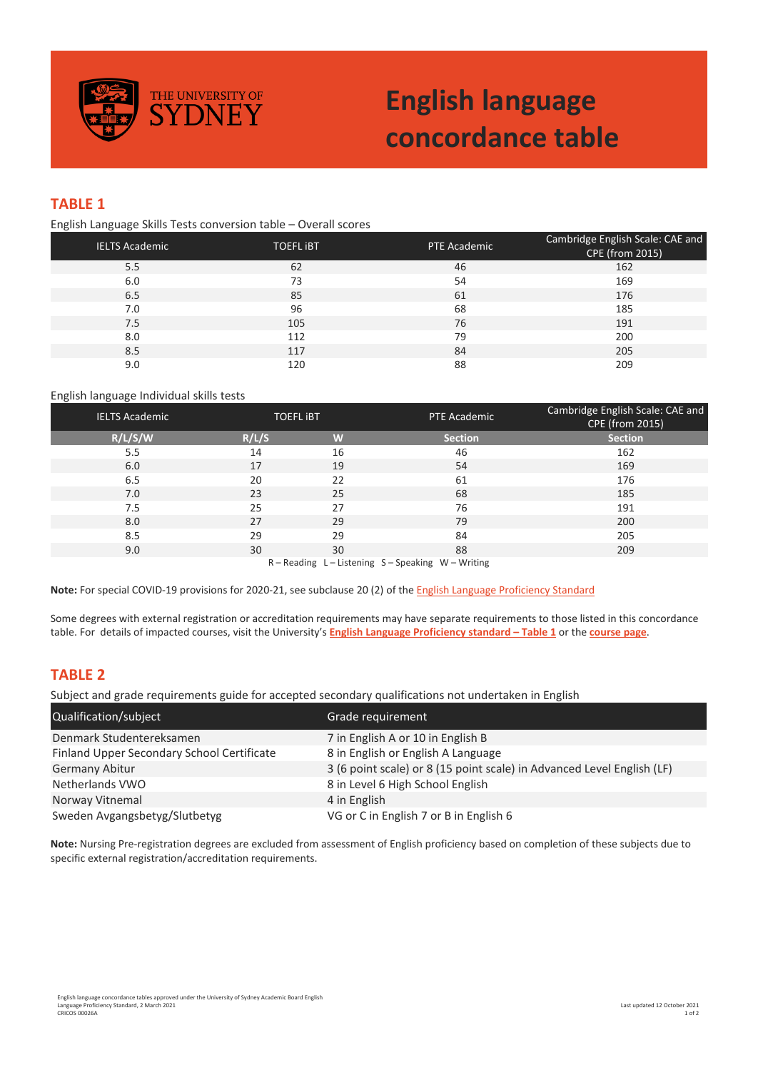

# **English language concordance table**

## **TABLE 1**

English Language Skills Tests conversion table – Overall scores

| <b>IELTS Academic</b> | <b>TOEFL IBT</b> | PTE Academic | Cambridge English Scale: CAE and<br>CPE (from 2015) |
|-----------------------|------------------|--------------|-----------------------------------------------------|
| 5.5                   | 62               | 46           | 162                                                 |
| 6.0                   | 73               | 54           | 169                                                 |
| 6.5                   | 85               | 61           | 176                                                 |
| 7.0                   | 96               | 68           | 185                                                 |
| 7.5                   | 105              | 76           | 191                                                 |
| 8.0                   | 112              | 79           | 200                                                 |
| 8.5                   | 117              | 84           | 205                                                 |
| 9.0                   | 120              | 88           | 209                                                 |

#### English language Individual skills tests

| <b>IELTS Academic</b>                                | <b>TOEFL IBT</b> |    | PTE Academic   | Cambridge English Scale: CAE and<br><b>CPE (from 2015)</b> |  |  |
|------------------------------------------------------|------------------|----|----------------|------------------------------------------------------------|--|--|
| R/L/S/W                                              | R/L/S            | W  | <b>Section</b> | <b>Section</b>                                             |  |  |
| 5.5                                                  | 14               | 16 | 46             | 162                                                        |  |  |
| 6.0                                                  | 17               | 19 | 54             | 169                                                        |  |  |
| 6.5                                                  | 20               | 22 | 61             | 176                                                        |  |  |
| 7.0                                                  | 23               | 25 | 68             | 185                                                        |  |  |
| 7.5                                                  | 25               | 27 | 76             | 191                                                        |  |  |
| 8.0                                                  | 27               | 29 | 79             | 200                                                        |  |  |
| 8.5                                                  | 29               | 29 | 84             | 205                                                        |  |  |
| 9.0                                                  | 30               | 30 | 88             | 209                                                        |  |  |
| $R - Reading$ L - Listening S - Speaking W - Writing |                  |    |                |                                                            |  |  |

**Note:** For special COVID-19 provisions for 2020-21, see subclause 20 (2) of th[e English Language Proficiency Standard](https://www.sydney.edu.au/content/dam/corporate/documents/about-us/governance-and-structure/university-calendar/admissions-standards-english-language-proficiency.pdf)

Some degrees with external registration or accreditation requirements may have separate requirements to those listed in this concordance table. For details of impacted courses, visit the University's **English [Language Proficiency standard –](https://www.sydney.edu.au/content/dam/corporate/documents/about-us/governance-and-structure/university-calendar/admissions-standards-english-language-proficiency.pdf) Table 1** or the **[course page](https://www.sydney.edu.au/courses)**.

### **TABLE 2**

Subject and grade requirements guide for accepted secondary qualifications not undertaken in English

| Qualification/subject                      | Grade requirement                                                      |
|--------------------------------------------|------------------------------------------------------------------------|
| Denmark Studentereksamen                   | 7 in English A or 10 in English B                                      |
| Finland Upper Secondary School Certificate | 8 in English or English A Language                                     |
| <b>Germany Abitur</b>                      | 3 (6 point scale) or 8 (15 point scale) in Advanced Level English (LF) |
| Netherlands VWO                            | 8 in Level 6 High School English                                       |
| Norway Vitnemal                            | 4 in English                                                           |
| Sweden Avgangsbetyg/Slutbetyg              | VG or C in English 7 or B in English 6                                 |

**Note:** Nursing Pre-registration degrees are excluded from assessment of English proficiency based on completion of these subjects due to specific external registration/accreditation requirements.